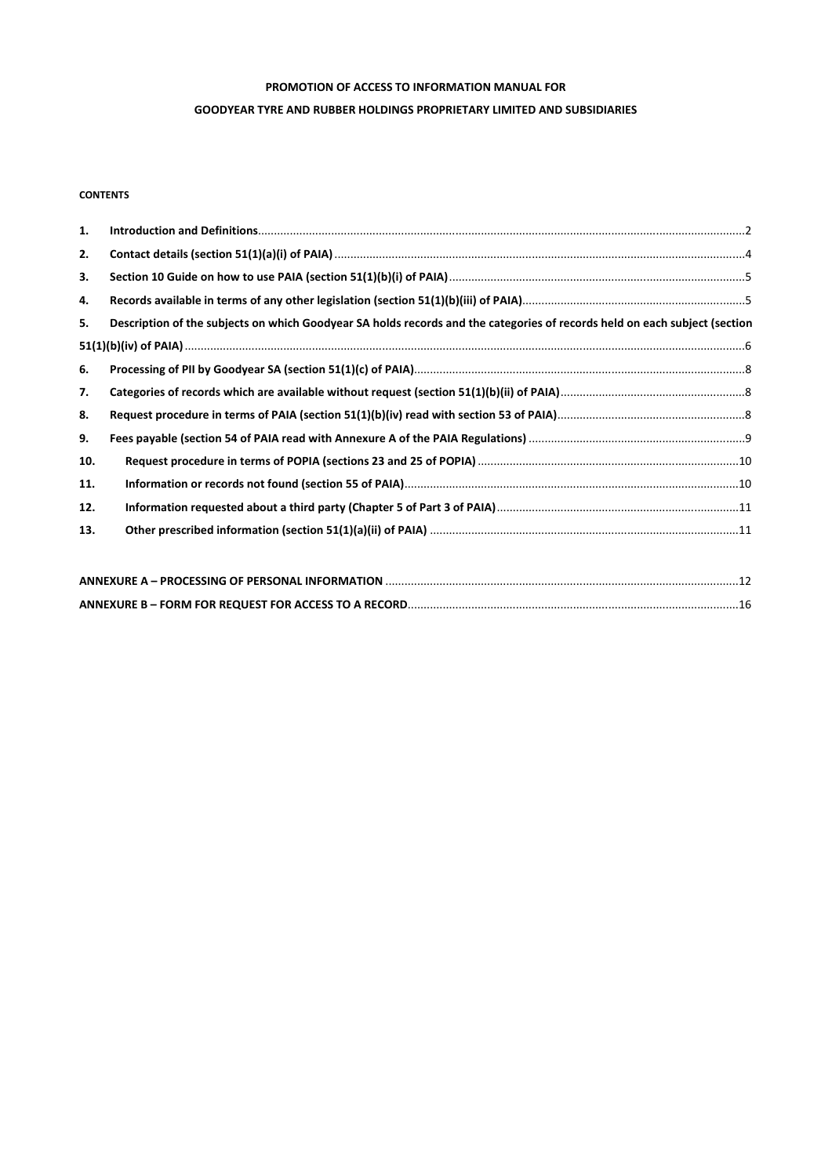# **PROMOTION OF ACCESS TO INFORMATION MANUAL FOR**

#### **GOODYEAR TYRE AND RUBBER HOLDINGS PROPRIETARY LIMITED AND SUBSIDIARIES**

# **CONTENTS**

| 1.  |                                                                                                                            |
|-----|----------------------------------------------------------------------------------------------------------------------------|
| 2.  |                                                                                                                            |
| 3.  |                                                                                                                            |
| 4.  |                                                                                                                            |
| 5.  | Description of the subjects on which Goodyear SA holds records and the categories of records held on each subject (section |
|     |                                                                                                                            |
| 6.  |                                                                                                                            |
| 7.  |                                                                                                                            |
| 8.  |                                                                                                                            |
| 9.  |                                                                                                                            |
| 10. |                                                                                                                            |
| 11. |                                                                                                                            |
| 12. |                                                                                                                            |
| 13. |                                                                                                                            |
|     |                                                                                                                            |
|     |                                                                                                                            |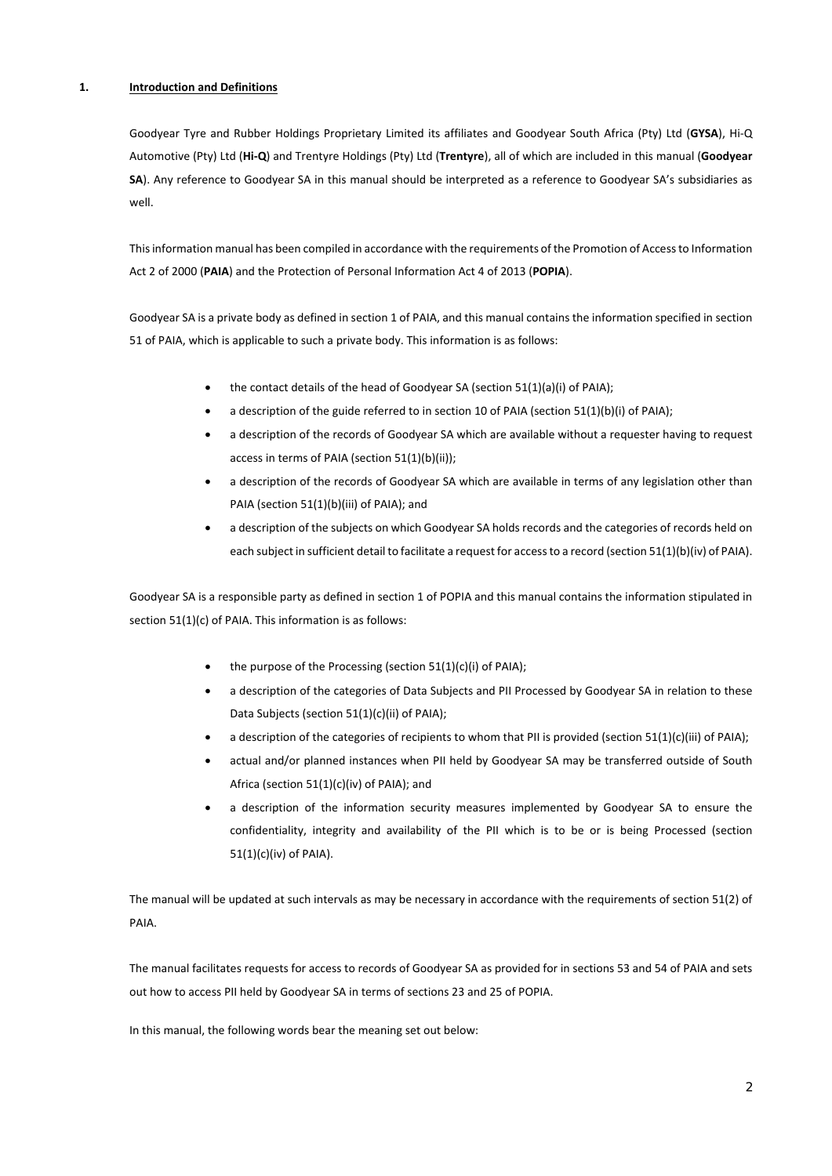### **1. Introduction and Definitions**

Goodyear Tyre and Rubber Holdings Proprietary Limited its affiliates and Goodyear South Africa (Pty) Ltd (**GYSA**), Hi‐Q Automotive (Pty) Ltd (**Hi‐Q**) and Trentyre Holdings (Pty) Ltd (**Trentyre**), all of which are included in this manual (**Goodyear SA**). Any reference to Goodyear SA in this manual should be interpreted as a reference to Goodyear SA's subsidiaries as well.

This information manual has been compiled in accordance with the requirements of the Promotion of Access to Information Act 2 of 2000 (**PAIA**) and the Protection of Personal Information Act 4 of 2013 (**POPIA**).

Goodyear SA is a private body as defined in section 1 of PAIA, and this manual contains the information specified in section 51 of PAIA, which is applicable to such a private body. This information is as follows:

- the contact details of the head of Goodyear SA (section 51(1)(a)(i) of PAIA);
- a description of the guide referred to in section 10 of PAIA (section 51(1)(b)(i) of PAIA);
- a description of the records of Goodyear SA which are available without a requester having to request access in terms of PAIA (section 51(1)(b)(ii));
- a description of the records of Goodyear SA which are available in terms of any legislation other than PAIA (section 51(1)(b)(iii) of PAIA); and
- a description of the subjects on which Goodyear SA holds records and the categories of records held on each subject in sufficient detail to facilitate a request for access to a record (section 51(1)(b)(iv) of PAIA).

Goodyear SA is a responsible party as defined in section 1 of POPIA and this manual contains the information stipulated in section 51(1)(c) of PAIA. This information is as follows:

- $\bullet$  the purpose of the Processing (section 51(1)(c)(i) of PAIA);
- a description of the categories of Data Subjects and PII Processed by Goodyear SA in relation to these Data Subjects (section 51(1)(c)(ii) of PAIA);
- a description of the categories of recipients to whom that PII is provided (section 51(1)(c)(iii) of PAIA);
- actual and/or planned instances when PII held by Goodyear SA may be transferred outside of South Africa (section 51(1)(c)(iv) of PAIA); and
- a description of the information security measures implemented by Goodyear SA to ensure the confidentiality, integrity and availability of the PII which is to be or is being Processed (section 51(1)(c)(iv) of PAIA).

The manual will be updated at such intervals as may be necessary in accordance with the requirements of section 51(2) of PAIA.

The manual facilitates requests for access to records of Goodyear SA as provided for in sections 53 and 54 of PAIA and sets out how to access PII held by Goodyear SA in terms of sections 23 and 25 of POPIA.

In this manual, the following words bear the meaning set out below: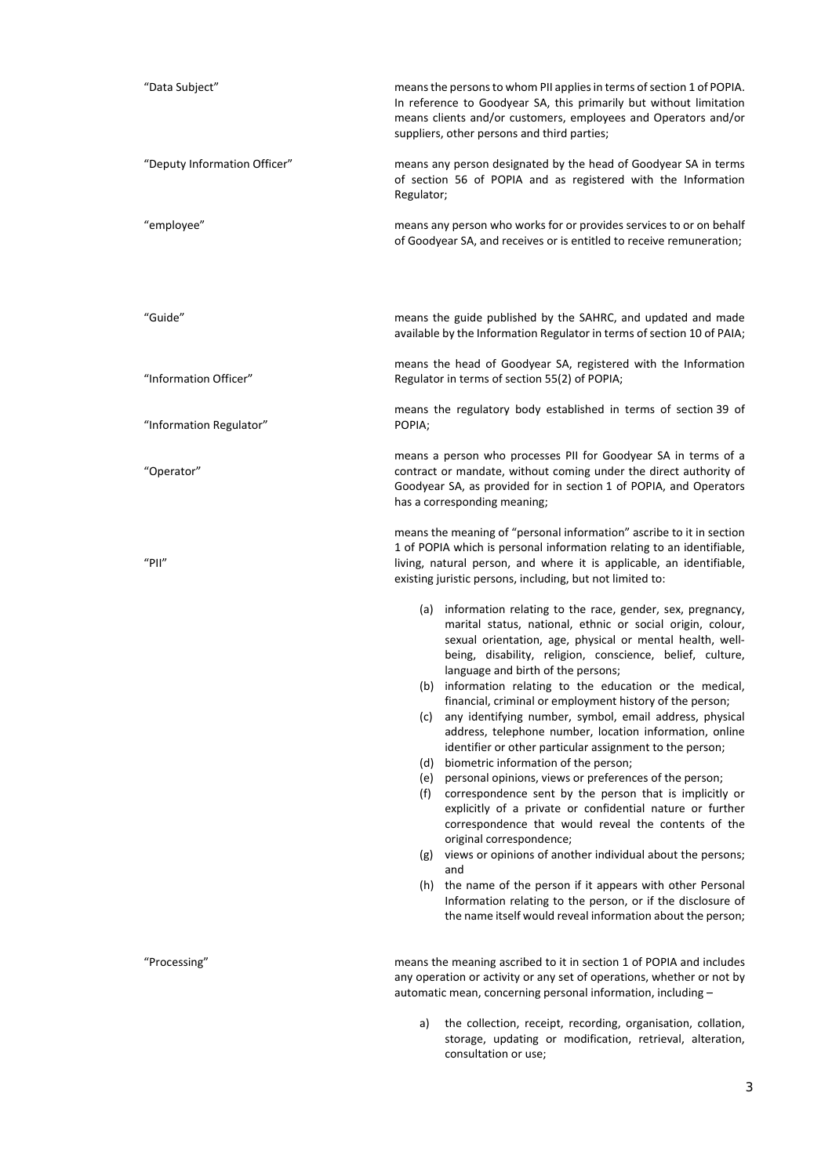| "Data Subject"               | means the persons to whom PII applies in terms of section 1 of POPIA.<br>In reference to Goodyear SA, this primarily but without limitation<br>means clients and/or customers, employees and Operators and/or<br>suppliers, other persons and third parties;                                                                                                                                                                                                                                                                                                                                                                                                                                                                                                                                                                                                                                                                                                                                                                                                                                                                                                                                                     |  |  |
|------------------------------|------------------------------------------------------------------------------------------------------------------------------------------------------------------------------------------------------------------------------------------------------------------------------------------------------------------------------------------------------------------------------------------------------------------------------------------------------------------------------------------------------------------------------------------------------------------------------------------------------------------------------------------------------------------------------------------------------------------------------------------------------------------------------------------------------------------------------------------------------------------------------------------------------------------------------------------------------------------------------------------------------------------------------------------------------------------------------------------------------------------------------------------------------------------------------------------------------------------|--|--|
| "Deputy Information Officer" | means any person designated by the head of Goodyear SA in terms<br>of section 56 of POPIA and as registered with the Information<br>Regulator;                                                                                                                                                                                                                                                                                                                                                                                                                                                                                                                                                                                                                                                                                                                                                                                                                                                                                                                                                                                                                                                                   |  |  |
| "employee"                   | means any person who works for or provides services to or on behalf<br>of Goodyear SA, and receives or is entitled to receive remuneration;                                                                                                                                                                                                                                                                                                                                                                                                                                                                                                                                                                                                                                                                                                                                                                                                                                                                                                                                                                                                                                                                      |  |  |
| "Guide"                      | means the guide published by the SAHRC, and updated and made<br>available by the Information Regulator in terms of section 10 of PAIA;                                                                                                                                                                                                                                                                                                                                                                                                                                                                                                                                                                                                                                                                                                                                                                                                                                                                                                                                                                                                                                                                           |  |  |
| "Information Officer"        | means the head of Goodyear SA, registered with the Information<br>Regulator in terms of section 55(2) of POPIA;                                                                                                                                                                                                                                                                                                                                                                                                                                                                                                                                                                                                                                                                                                                                                                                                                                                                                                                                                                                                                                                                                                  |  |  |
| "Information Regulator"      | means the regulatory body established in terms of section 39 of<br>POPIA;                                                                                                                                                                                                                                                                                                                                                                                                                                                                                                                                                                                                                                                                                                                                                                                                                                                                                                                                                                                                                                                                                                                                        |  |  |
| "Operator"                   | means a person who processes PII for Goodyear SA in terms of a<br>contract or mandate, without coming under the direct authority of<br>Goodyear SA, as provided for in section 1 of POPIA, and Operators<br>has a corresponding meaning;                                                                                                                                                                                                                                                                                                                                                                                                                                                                                                                                                                                                                                                                                                                                                                                                                                                                                                                                                                         |  |  |
| "PII"                        | means the meaning of "personal information" ascribe to it in section<br>1 of POPIA which is personal information relating to an identifiable,<br>living, natural person, and where it is applicable, an identifiable,<br>existing juristic persons, including, but not limited to:                                                                                                                                                                                                                                                                                                                                                                                                                                                                                                                                                                                                                                                                                                                                                                                                                                                                                                                               |  |  |
|                              | (a) information relating to the race, gender, sex, pregnancy,<br>marital status, national, ethnic or social origin, colour,<br>sexual orientation, age, physical or mental health, well-<br>being, disability, religion, conscience, belief, culture,<br>language and birth of the persons;<br>(b) information relating to the education or the medical,<br>financial, criminal or employment history of the person;<br>(c) any identifying number, symbol, email address, physical<br>address, telephone number, location information, online<br>identifier or other particular assignment to the person;<br>(d) biometric information of the person;<br>(e) personal opinions, views or preferences of the person;<br>correspondence sent by the person that is implicitly or<br>(f)<br>explicitly of a private or confidential nature or further<br>correspondence that would reveal the contents of the<br>original correspondence;<br>(g) views or opinions of another individual about the persons;<br>and<br>the name of the person if it appears with other Personal<br>(h)<br>Information relating to the person, or if the disclosure of<br>the name itself would reveal information about the person; |  |  |
| "Processing"                 | means the meaning ascribed to it in section 1 of POPIA and includes<br>any operation or activity or any set of operations, whether or not by<br>automatic mean, concerning personal information, including -                                                                                                                                                                                                                                                                                                                                                                                                                                                                                                                                                                                                                                                                                                                                                                                                                                                                                                                                                                                                     |  |  |
|                              | the collection, receipt, recording, organisation, collation,<br>a)<br>storage, updating or modification, retrieval, alteration,<br>consultation or use;                                                                                                                                                                                                                                                                                                                                                                                                                                                                                                                                                                                                                                                                                                                                                                                                                                                                                                                                                                                                                                                          |  |  |

3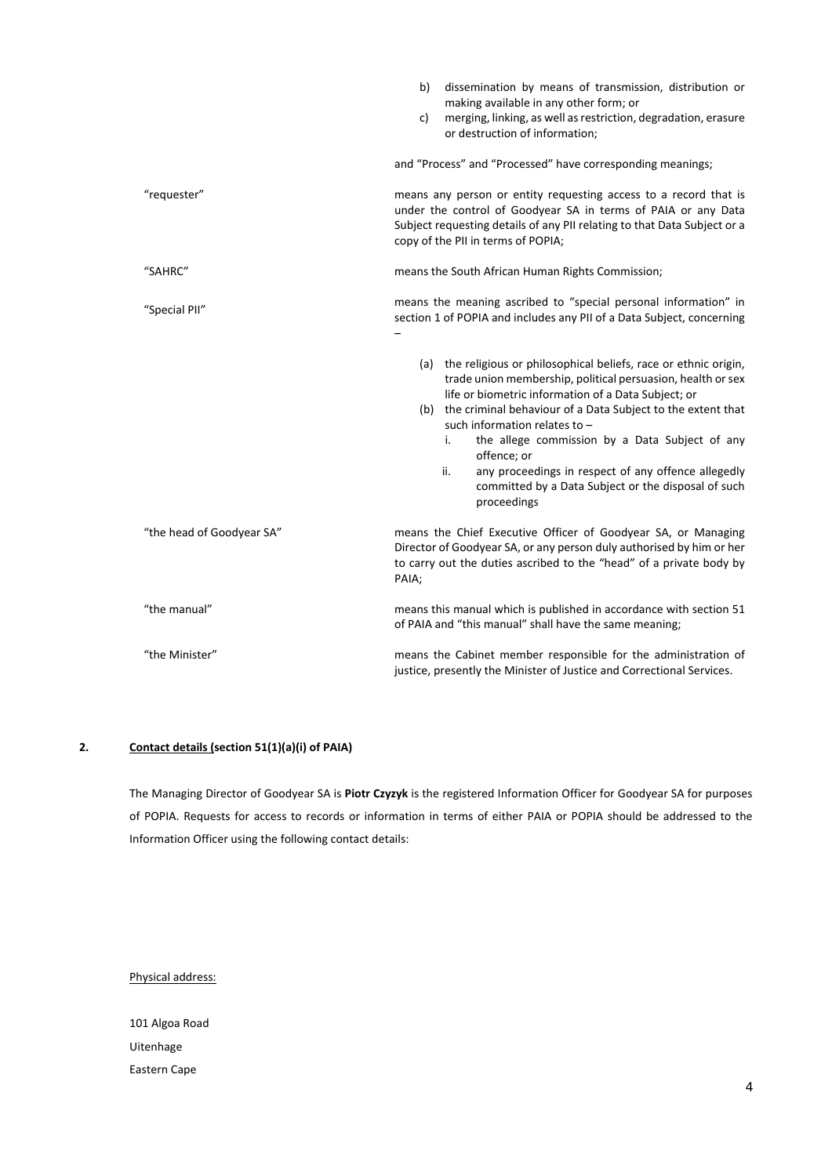|                           | dissemination by means of transmission, distribution or<br>b)<br>making available in any other form; or<br>merging, linking, as well as restriction, degradation, erasure<br>c)<br>or destruction of information;                                                                                                                                                                                                                                                                                       |  |  |
|---------------------------|---------------------------------------------------------------------------------------------------------------------------------------------------------------------------------------------------------------------------------------------------------------------------------------------------------------------------------------------------------------------------------------------------------------------------------------------------------------------------------------------------------|--|--|
|                           | and "Process" and "Processed" have corresponding meanings;                                                                                                                                                                                                                                                                                                                                                                                                                                              |  |  |
| "requester"               | means any person or entity requesting access to a record that is<br>under the control of Goodyear SA in terms of PAIA or any Data<br>Subject requesting details of any PII relating to that Data Subject or a<br>copy of the PII in terms of POPIA;                                                                                                                                                                                                                                                     |  |  |
| "SAHRC"                   | means the South African Human Rights Commission;                                                                                                                                                                                                                                                                                                                                                                                                                                                        |  |  |
| "Special PII"             | means the meaning ascribed to "special personal information" in<br>section 1 of POPIA and includes any PII of a Data Subject, concerning                                                                                                                                                                                                                                                                                                                                                                |  |  |
|                           | (a) the religious or philosophical beliefs, race or ethnic origin,<br>trade union membership, political persuasion, health or sex<br>life or biometric information of a Data Subject; or<br>(b) the criminal behaviour of a Data Subject to the extent that<br>such information relates to -<br>the allege commission by a Data Subject of any<br>i.<br>offence; or<br>ii.<br>any proceedings in respect of any offence allegedly<br>committed by a Data Subject or the disposal of such<br>proceedings |  |  |
| "the head of Goodyear SA" | means the Chief Executive Officer of Goodyear SA, or Managing<br>Director of Goodyear SA, or any person duly authorised by him or her<br>to carry out the duties ascribed to the "head" of a private body by<br>PAIA;                                                                                                                                                                                                                                                                                   |  |  |
| "the manual"              | means this manual which is published in accordance with section 51<br>of PAIA and "this manual" shall have the same meaning;                                                                                                                                                                                                                                                                                                                                                                            |  |  |
| "the Minister"            | means the Cabinet member responsible for the administration of<br>justice, presently the Minister of Justice and Correctional Services.                                                                                                                                                                                                                                                                                                                                                                 |  |  |

# **2. Contact details (section 51(1)(a)(i) of PAIA)**

The Managing Director of Goodyear SA is **Piotr Czyzyk** is the registered Information Officer for Goodyear SA for purposes of POPIA. Requests for access to records or information in terms of either PAIA or POPIA should be addressed to the Information Officer using the following contact details:

Physical address:

101 Algoa Road Uitenhage Eastern Cape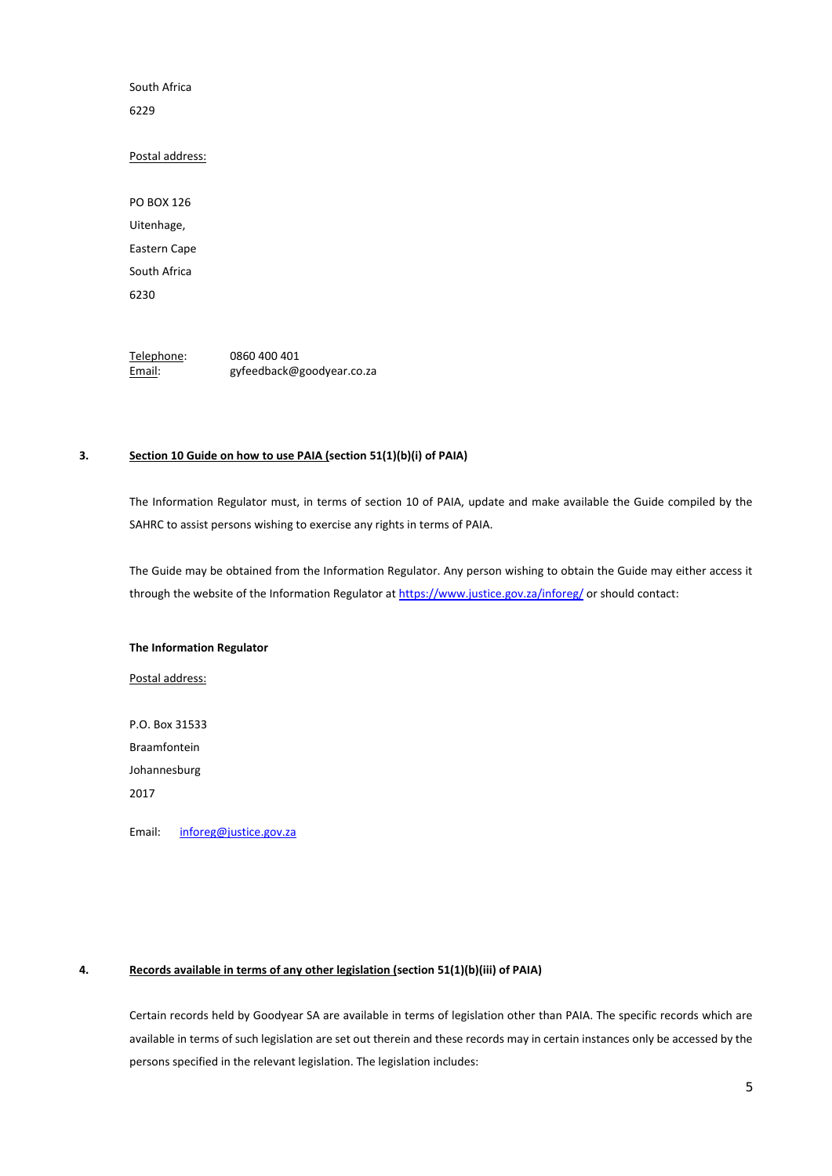South Africa

6229

# Postal address:

PO BOX 126 Uitenhage, Eastern Cape South Africa 6230

Telephone: 0860 400 401 Email: gyfeedback@goodyear.co.za

# **3. Section 10 Guide on how to use PAIA (section 51(1)(b)(i) of PAIA)**

The Information Regulator must, in terms of section 10 of PAIA, update and make available the Guide compiled by the SAHRC to assist persons wishing to exercise any rights in terms of PAIA.

The Guide may be obtained from the Information Regulator. Any person wishing to obtain the Guide may either access it through the website of the Information Regulator at https://www.justice.gov.za/inforeg/ or should contact:

#### **The Information Regulator**

Postal address:

P.O. Box 31533 Braamfontein Johannesburg 2017

Email: inforeg@justice.gov.za

# **4. Records available in terms of any other legislation (section 51(1)(b)(iii) of PAIA)**

Certain records held by Goodyear SA are available in terms of legislation other than PAIA. The specific records which are available in terms of such legislation are set out therein and these records may in certain instances only be accessed by the persons specified in the relevant legislation. The legislation includes: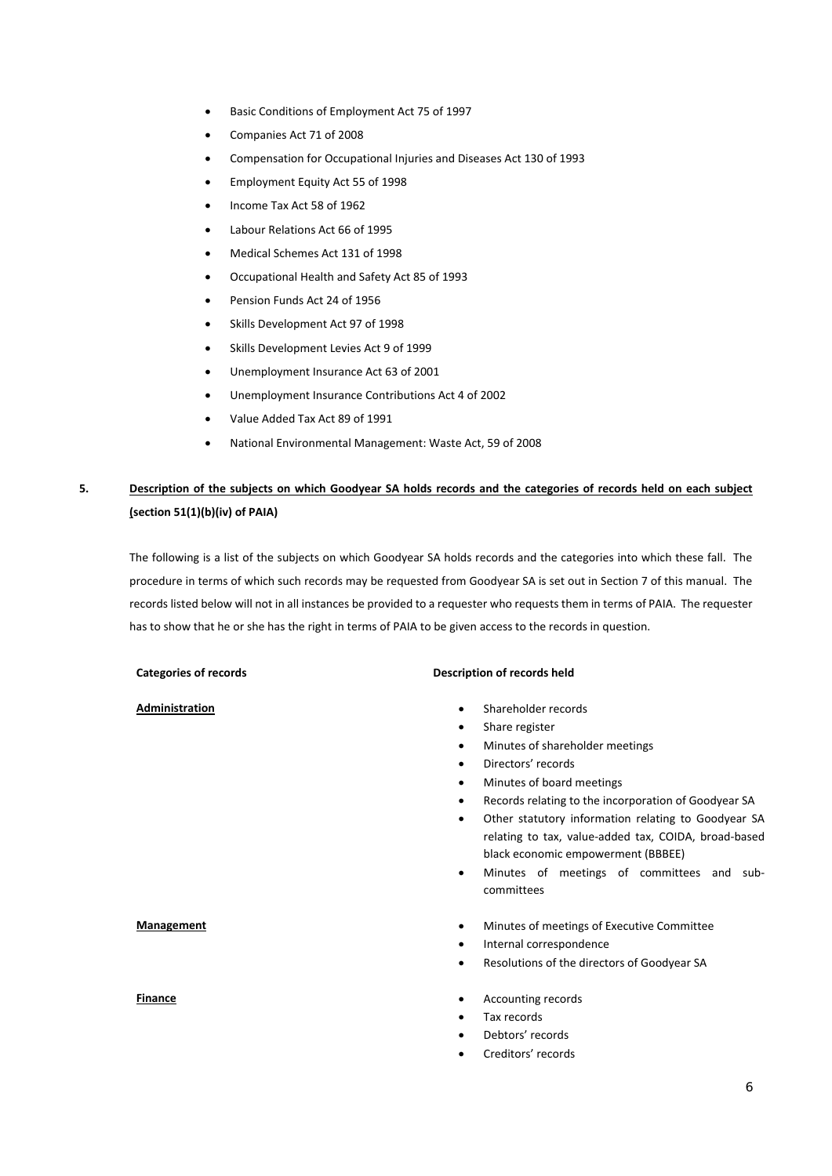- Basic Conditions of Employment Act 75 of 1997
- Companies Act 71 of 2008
- Compensation for Occupational Injuries and Diseases Act 130 of 1993
- Employment Equity Act 55 of 1998
- Income Tax Act 58 of 1962
- Labour Relations Act 66 of 1995
- Medical Schemes Act 131 of 1998
- Occupational Health and Safety Act 85 of 1993
- Pension Funds Act 24 of 1956
- Skills Development Act 97 of 1998
- Skills Development Levies Act 9 of 1999
- Unemployment Insurance Act 63 of 2001
- Unemployment Insurance Contributions Act 4 of 2002
- Value Added Tax Act 89 of 1991
- National Environmental Management: Waste Act, 59 of 2008

# **5. Description of the subjects on which Goodyear SA holds records and the categories of records held on each subject (section 51(1)(b)(iv) of PAIA)**

The following is a list of the subjects on which Goodyear SA holds records and the categories into which these fall. The procedure in terms of which such records may be requested from Goodyear SA is set out in Section 7 of this manual. The records listed below will not in all instances be provided to a requester who requests them in terms of PAIA. The requester has to show that he or she has the right in terms of PAIA to be given access to the records in question.

### Categories of records **Description of records** held

- Administration **Administration Administration Administration Administration CO** 
	- Share register
	- Minutes of shareholder meetings
	- Directors' records
	- Minutes of board meetings
	- Records relating to the incorporation of Goodyear SA
	- Other statutory information relating to Goodyear SA relating to tax, value‐added tax, COIDA, broad‐based black economic empowerment (BBBEE)
	- Minutes of meetings of committees and sub‐ committees
- **Management Management Minutes of meetings of Executive Committee** 
	- Internal correspondence
	- Resolutions of the directors of Goodyear SA
- **Finance CONSISTENT CONSISTENT CONSISTENT CONSISTENT CONSISTENT CONSISTENT CONSISTENT CONSISTENT CONSISTENT** 
	- Tax records
	- Debtors' records
	- Creditors' records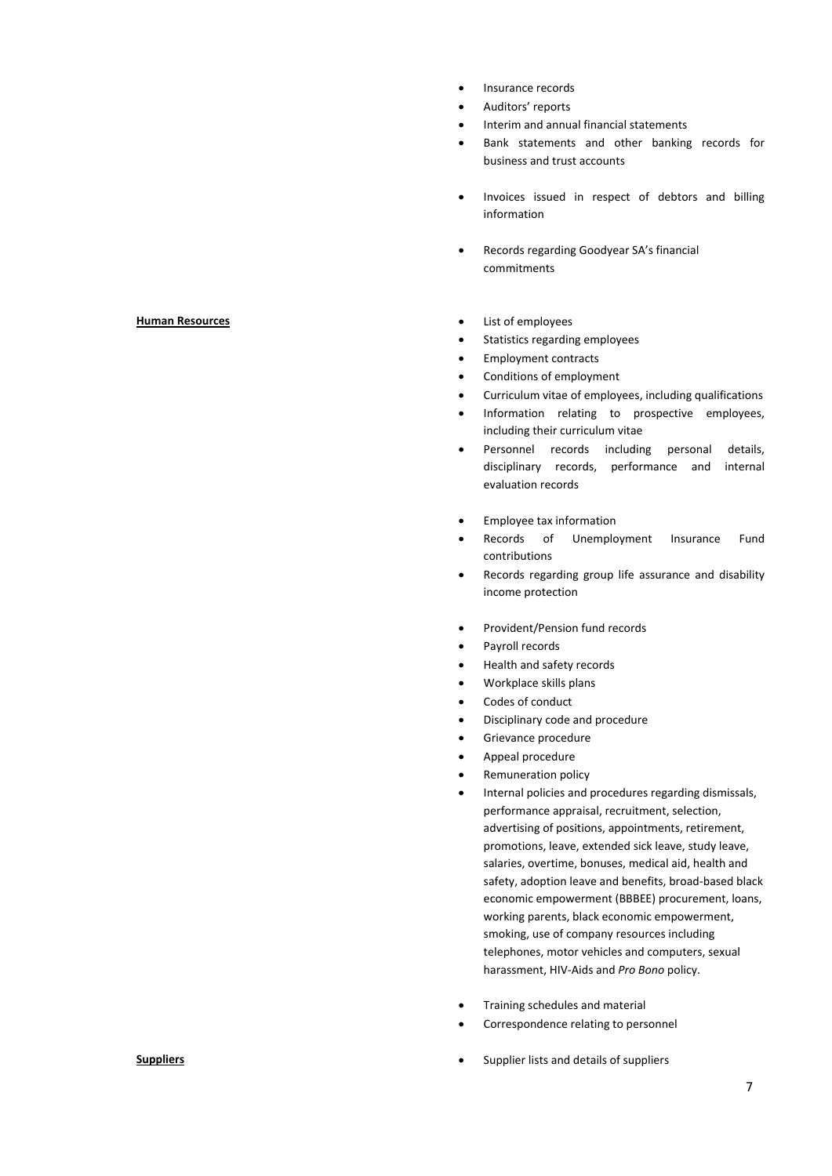- Insurance records
- Auditors' reports
- Interim and annual financial statements
- Bank statements and other banking records for business and trust accounts
- Invoices issued in respect of debtors and billing information
- Records regarding Goodyear SA's financial commitments

- 
- **Human Resources 1999 1999 1999 1999 1999 1999 1999 1999 1999 1999 1999 1999 1999 1999 1999 1999 1999 1999 1999 1999 1999 1999 1999 1999 1999 1999 1999 1999 1999**
	- Statistics regarding employees
	- Employment contracts
	- Conditions of employment
	- Curriculum vitae of employees, including qualifications
	- Information relating to prospective employees, including their curriculum vitae
	- Personnel records including personal details, disciplinary records, performance and internal evaluation records
	- Employee tax information
	- Records of Unemployment Insurance Fund contributions
	- Records regarding group life assurance and disability income protection
	- Provident/Pension fund records
	- Payroll records
	- Health and safety records
	- Workplace skills plans
	- Codes of conduct
	- Disciplinary code and procedure
	- Grievance procedure
	- Appeal procedure
	- Remuneration policy
	- Internal policies and procedures regarding dismissals, performance appraisal, recruitment, selection, advertising of positions, appointments, retirement, promotions, leave, extended sick leave, study leave, salaries, overtime, bonuses, medical aid, health and safety, adoption leave and benefits, broad-based black economic empowerment (BBBEE) procurement, loans, working parents, black economic empowerment, smoking, use of company resources including telephones, motor vehicles and computers, sexual harassment, HIV‐Aids and *Pro Bono* policy.
	- Training schedules and material
	- Correspondence relating to personnel
- **Suppliers Compliers Supplier lists and details of suppliers**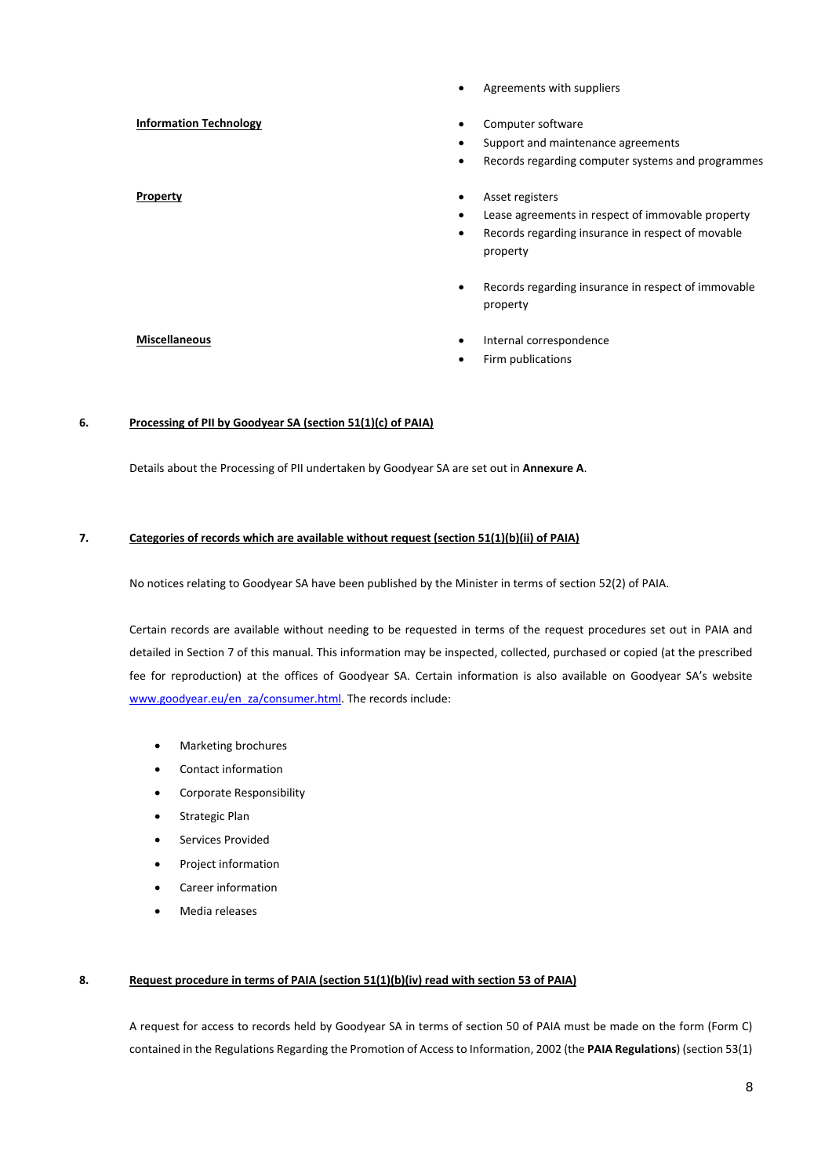|                               | Agreements with suppliers<br>$\bullet$                                                                                                                               |
|-------------------------------|----------------------------------------------------------------------------------------------------------------------------------------------------------------------|
| <b>Information Technology</b> | Computer software<br>$\bullet$<br>Support and maintenance agreements<br>٠<br>Records regarding computer systems and programmes<br>$\bullet$                          |
| <b>Property</b>               | Asset registers<br>$\bullet$<br>Lease agreements in respect of immovable property<br>٠<br>Records regarding insurance in respect of movable<br>$\bullet$<br>property |
|                               | Records regarding insurance in respect of immovable<br>$\bullet$<br>property                                                                                         |
| <b>Miscellaneous</b>          | Internal correspondence<br>٠<br>Firm publications                                                                                                                    |

# **6. Processing of PII by Goodyear SA (section 51(1)(c) of PAIA)**

Details about the Processing of PII undertaken by Goodyear SA are set out in **Annexure A**.

# **7. Categories of records which are available without request (section 51(1)(b)(ii) of PAIA)**

No notices relating to Goodyear SA have been published by the Minister in terms of section 52(2) of PAIA.

Certain records are available without needing to be requested in terms of the request procedures set out in PAIA and detailed in Section 7 of this manual. This information may be inspected, collected, purchased or copied (at the prescribed fee for reproduction) at the offices of Goodyear SA. Certain information is also available on Goodyear SA's website www.goodyear.eu/en\_za/consumer.html. The records include:

- Marketing brochures
- Contact information
- Corporate Responsibility
- **•** Strategic Plan
- Services Provided
- Project information
- Career information
- Media releases

#### **8. Request procedure in terms of PAIA (section 51(1)(b)(iv) read with section 53 of PAIA)**

A request for access to records held by Goodyear SA in terms of section 50 of PAIA must be made on the form (Form C) contained in the Regulations Regarding the Promotion of Access to Information, 2002 (the **PAIA Regulations**) (section 53(1)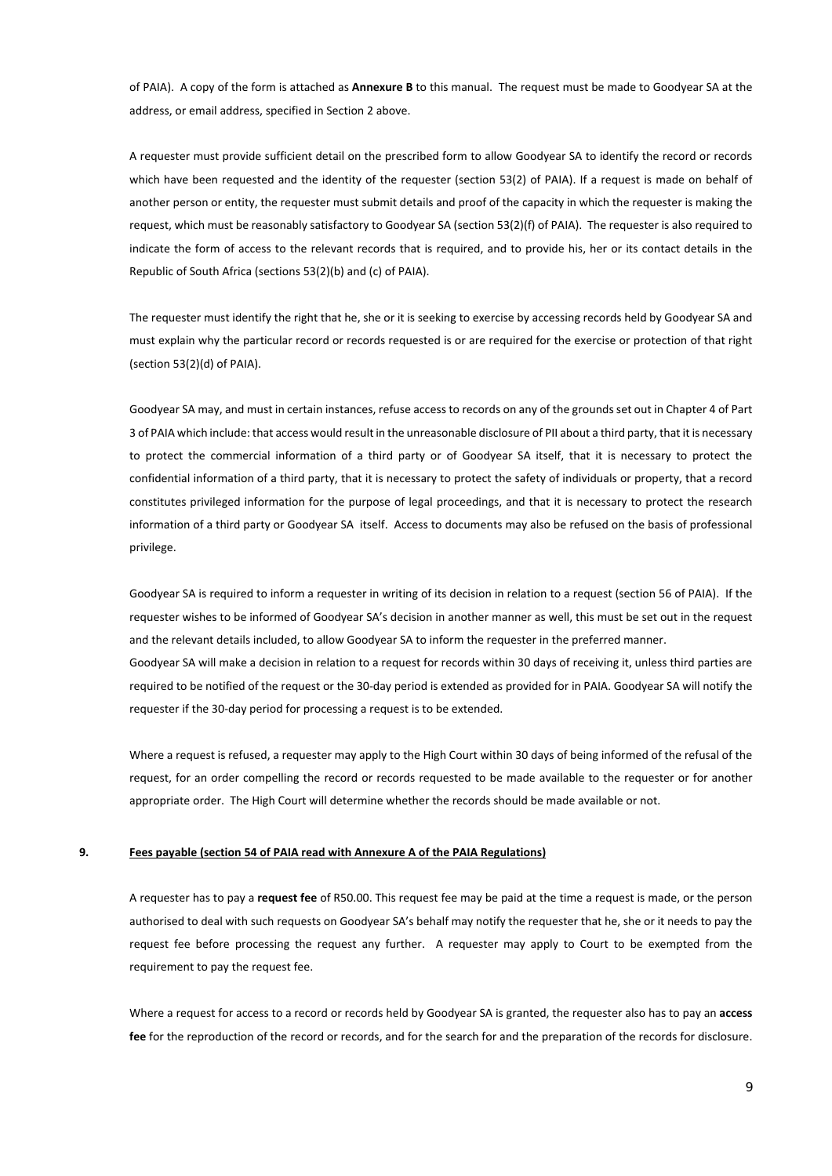of PAIA). A copy of the form is attached as **Annexure B** to this manual. The request must be made to Goodyear SA at the address, or email address, specified in Section 2 above.

A requester must provide sufficient detail on the prescribed form to allow Goodyear SA to identify the record or records which have been requested and the identity of the requester (section 53(2) of PAIA). If a request is made on behalf of another person or entity, the requester must submit details and proof of the capacity in which the requester is making the request, which must be reasonably satisfactory to Goodyear SA (section 53(2)(f) of PAIA). The requester is also required to indicate the form of access to the relevant records that is required, and to provide his, her or its contact details in the Republic of South Africa (sections 53(2)(b) and (c) of PAIA).

The requester must identify the right that he, she or it is seeking to exercise by accessing records held by Goodyear SA and must explain why the particular record or records requested is or are required for the exercise or protection of that right (section 53(2)(d) of PAIA).

Goodyear SA may, and must in certain instances, refuse access to records on any of the grounds set out in Chapter 4 of Part 3 of PAIA which include: that access would result in the unreasonable disclosure of PII about a third party, that it is necessary to protect the commercial information of a third party or of Goodyear SA itself, that it is necessary to protect the confidential information of a third party, that it is necessary to protect the safety of individuals or property, that a record constitutes privileged information for the purpose of legal proceedings, and that it is necessary to protect the research information of a third party or Goodyear SA itself. Access to documents may also be refused on the basis of professional privilege.

Goodyear SA is required to inform a requester in writing of its decision in relation to a request (section 56 of PAIA). If the requester wishes to be informed of Goodyear SA's decision in another manner as well, this must be set out in the request and the relevant details included, to allow Goodyear SA to inform the requester in the preferred manner. Goodyear SA will make a decision in relation to a request for records within 30 days of receiving it, unless third parties are required to be notified of the request or the 30‐day period is extended as provided for in PAIA. Goodyear SA will notify the requester if the 30‐day period for processing a request is to be extended.

Where a request is refused, a requester may apply to the High Court within 30 days of being informed of the refusal of the request, for an order compelling the record or records requested to be made available to the requester or for another appropriate order. The High Court will determine whether the records should be made available or not.

# **9. Fees payable (section 54 of PAIA read with Annexure A of the PAIA Regulations)**

A requester has to pay a **request fee** of R50.00. This request fee may be paid at the time a request is made, or the person authorised to deal with such requests on Goodyear SA's behalf may notify the requester that he, she or it needs to pay the request fee before processing the request any further. A requester may apply to Court to be exempted from the requirement to pay the request fee.

Where a request for access to a record or records held by Goodyear SA is granted, the requester also has to pay an **access fee** for the reproduction of the record or records, and for the search for and the preparation of the records for disclosure.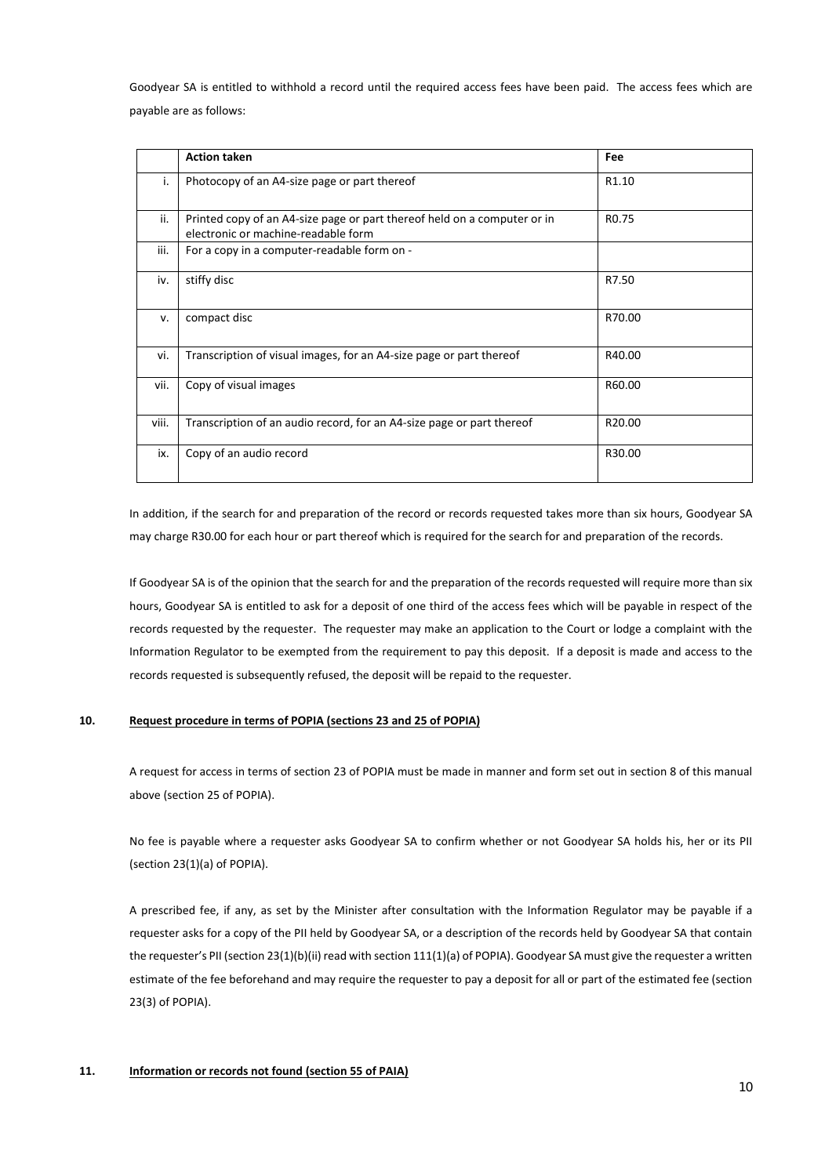Goodyear SA is entitled to withhold a record until the required access fees have been paid. The access fees which are payable are as follows:

|       | <b>Action taken</b>                                                                                             | Fee               |
|-------|-----------------------------------------------------------------------------------------------------------------|-------------------|
| ۱.    | Photocopy of an A4-size page or part thereof                                                                    | R1.10             |
| ii.   | Printed copy of an A4-size page or part thereof held on a computer or in<br>electronic or machine-readable form | R <sub>0.75</sub> |
| iii.  | For a copy in a computer-readable form on -                                                                     |                   |
| iv.   | stiffy disc                                                                                                     | R7.50             |
| v.    | compact disc                                                                                                    | R70.00            |
| vi.   | Transcription of visual images, for an A4-size page or part thereof                                             | R40.00            |
| vii.  | Copy of visual images                                                                                           | R60.00            |
| viii. | Transcription of an audio record, for an A4-size page or part thereof                                           | R20.00            |
| ix.   | Copy of an audio record                                                                                         | R30.00            |

In addition, if the search for and preparation of the record or records requested takes more than six hours, Goodyear SA may charge R30.00 for each hour or part thereof which is required for the search for and preparation of the records.

If Goodyear SA is of the opinion that the search for and the preparation of the records requested will require more than six hours, Goodyear SA is entitled to ask for a deposit of one third of the access fees which will be payable in respect of the records requested by the requester. The requester may make an application to the Court or lodge a complaint with the Information Regulator to be exempted from the requirement to pay this deposit. If a deposit is made and access to the records requested is subsequently refused, the deposit will be repaid to the requester.

### **10. Request procedure in terms of POPIA (sections 23 and 25 of POPIA)**

A request for access in terms of section 23 of POPIA must be made in manner and form set out in section 8 of this manual above (section 25 of POPIA).

No fee is payable where a requester asks Goodyear SA to confirm whether or not Goodyear SA holds his, her or its PII (section 23(1)(a) of POPIA).

A prescribed fee, if any, as set by the Minister after consultation with the Information Regulator may be payable if a requester asks for a copy of the PII held by Goodyear SA, or a description of the records held by Goodyear SA that contain the requester's PII (section 23(1)(b)(ii) read with section 111(1)(a) of POPIA). Goodyear SA must give the requester a written estimate of the fee beforehand and may require the requester to pay a deposit for all or part of the estimated fee (section 23(3) of POPIA).

### **11. Information or records not found (section 55 of PAIA)**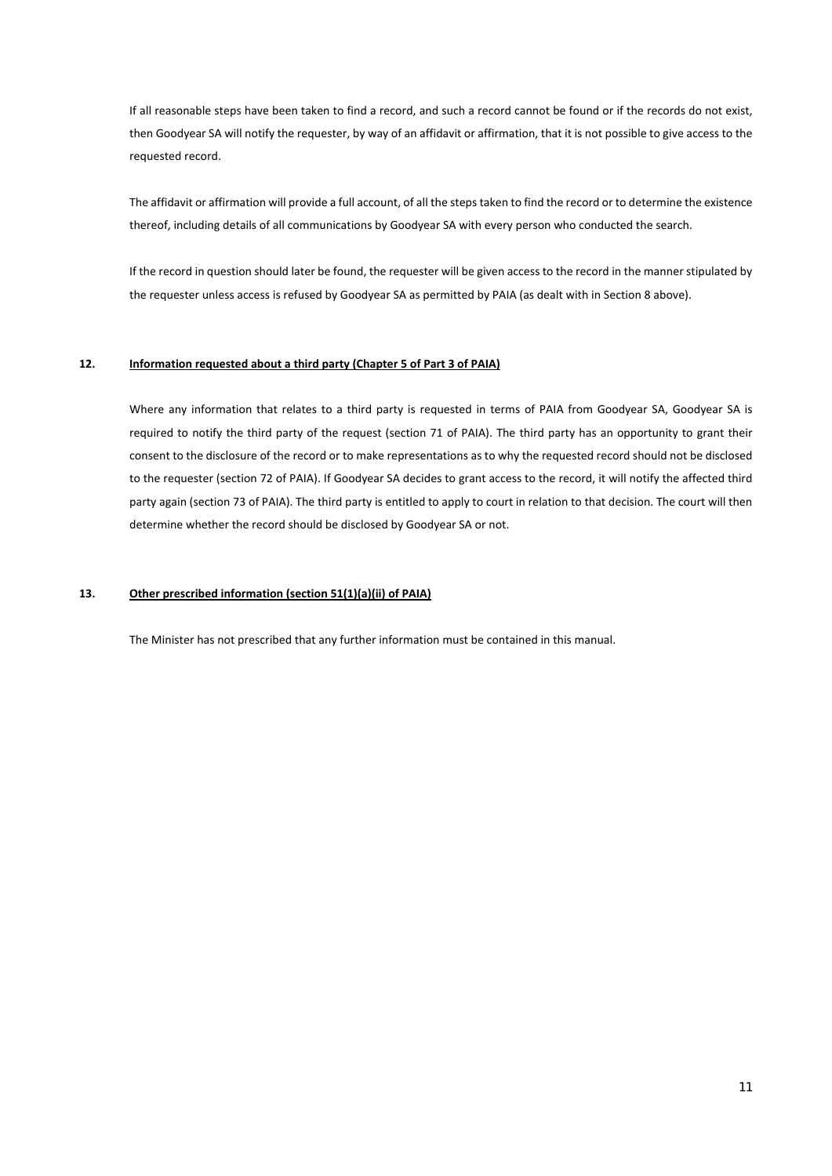If all reasonable steps have been taken to find a record, and such a record cannot be found or if the records do not exist, then Goodyear SA will notify the requester, by way of an affidavit or affirmation, that it is not possible to give access to the requested record.

The affidavit or affirmation will provide a full account, of all the steps taken to find the record or to determine the existence thereof, including details of all communications by Goodyear SA with every person who conducted the search.

If the record in question should later be found, the requester will be given access to the record in the manner stipulated by the requester unless access is refused by Goodyear SA as permitted by PAIA (as dealt with in Section 8 above).

#### **12. Information requested about a third party (Chapter 5 of Part 3 of PAIA)**

Where any information that relates to a third party is requested in terms of PAIA from Goodyear SA, Goodyear SA is required to notify the third party of the request (section 71 of PAIA). The third party has an opportunity to grant their consent to the disclosure of the record or to make representations as to why the requested record should not be disclosed to the requester (section 72 of PAIA). If Goodyear SA decides to grant access to the record, it will notify the affected third party again (section 73 of PAIA). The third party is entitled to apply to court in relation to that decision. The court will then determine whether the record should be disclosed by Goodyear SA or not.

# **13. Other prescribed information (section 51(1)(a)(ii) of PAIA)**

The Minister has not prescribed that any further information must be contained in this manual.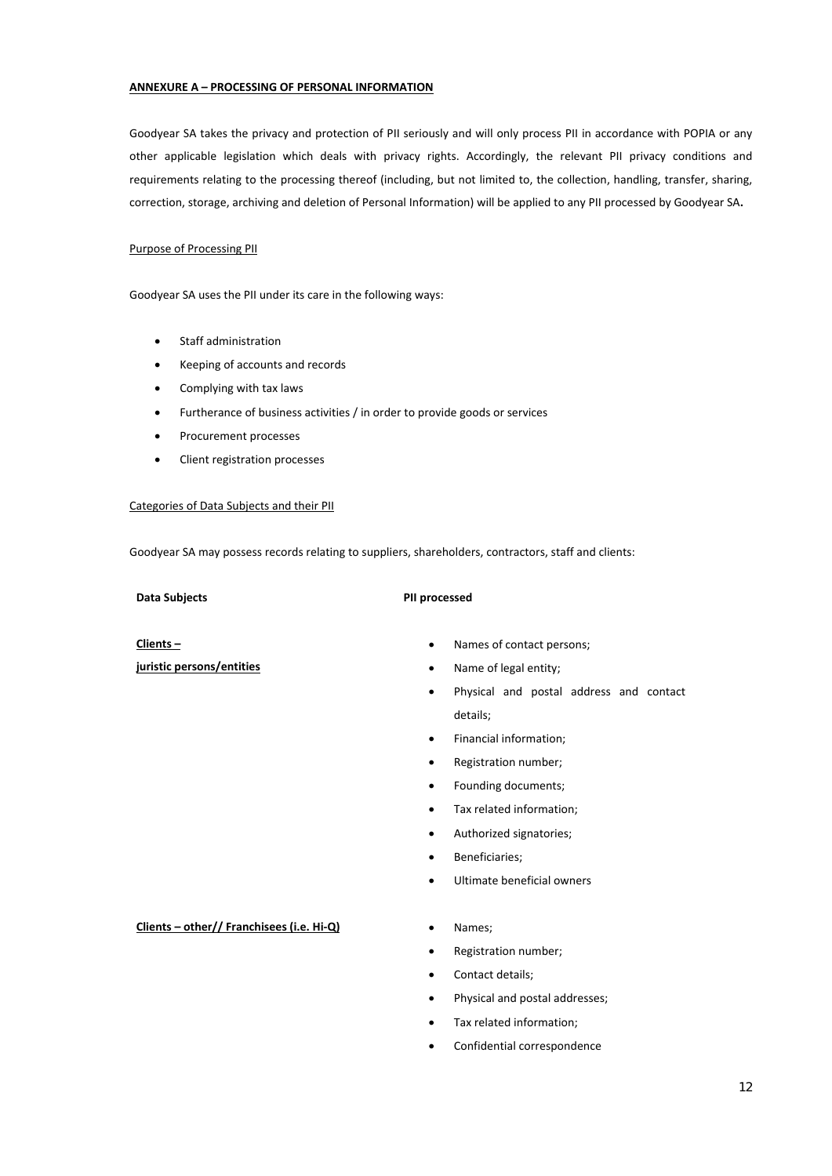### **ANNEXURE A – PROCESSING OF PERSONAL INFORMATION**

Goodyear SA takes the privacy and protection of PII seriously and will only process PII in accordance with POPIA or any other applicable legislation which deals with privacy rights. Accordingly, the relevant PII privacy conditions and requirements relating to the processing thereof (including, but not limited to, the collection, handling, transfer, sharing, correction, storage, archiving and deletion of Personal Information) will be applied to any PII processed by Goodyear SA**.** 

### Purpose of Processing PII

Goodyear SA uses the PII under its care in the following ways:

- Staff administration
- Keeping of accounts and records
- Complying with tax laws
- Furtherance of business activities / in order to provide goods or services
- Procurement processes
- Client registration processes

#### Categories of Data Subjects and their PII

Goodyear SA may possess records relating to suppliers, shareholders, contractors, staff and clients:

#### **Data Subjects PII processed**

**Clients –** 

**juristic persons/entities** 

- Names of contact persons;
- Name of legal entity;
- Physical and postal address and contact details;
- Financial information;
- Registration number;
- Founding documents;
- Tax related information;
- Authorized signatories;
- Beneficiaries;
- Ultimate beneficial owners

#### **Clients – other// Franchisees (i.e. Hi‐Q)**  Names;

- 
- Registration number;
- Contact details;
- Physical and postal addresses;
- Tax related information;
- Confidential correspondence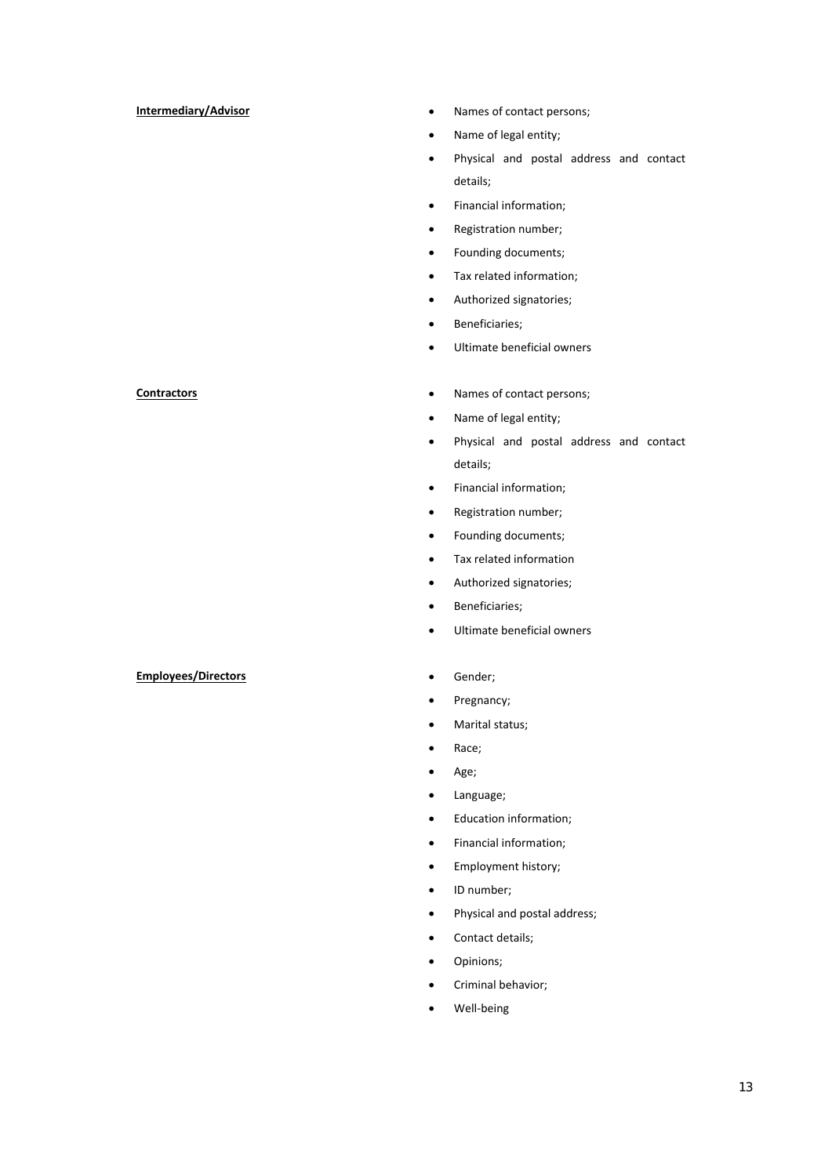- **Intermediary/Advisor Intermediary/Advisor Intermediary/Advisor** 
	- Name of legal entity;
	- Physical and postal address and contact details;
	- Financial information;
	- Registration number;
	- Founding documents;
	- Tax related information;
	- Authorized signatories;
	- Beneficiaries;
	- Ultimate beneficial owners
- **Contractors 120 Contractors 120 Contractors 120 Contact persons;** 
	- Name of legal entity;
	- Physical and postal address and contact details;
	- Financial information;
	- Registration number;
	- Founding documents;
	- Tax related information
	- Authorized signatories;
	- Beneficiaries;
	- Ultimate beneficial owners
	-
	- Pregnancy;
	- Marital status;
	- Race;
	- Age;
	- Language;
	- Education information;
	- Financial information;
	- Employment history;
	- ID number;
	- Physical and postal address;
	- Contact details;
	- Opinions;
	- Criminal behavior;
	- Well‐being

#### **Employees/Directors CENSISTEN PROPERTY CONSIDERED PROPERTY**

13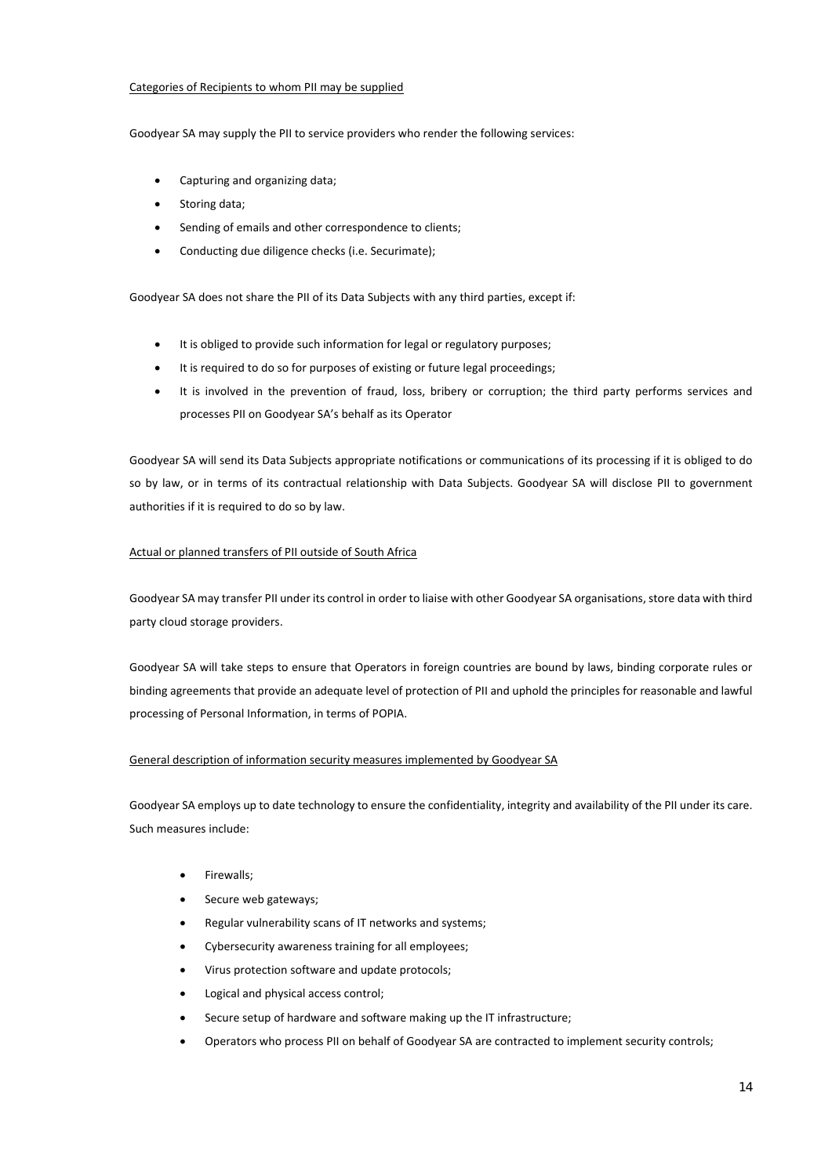### Categories of Recipients to whom PII may be supplied

Goodyear SA may supply the PII to service providers who render the following services:

- Capturing and organizing data;
- Storing data;
- Sending of emails and other correspondence to clients;
- Conducting due diligence checks (i.e. Securimate);

Goodyear SA does not share the PII of its Data Subjects with any third parties, except if:

- It is obliged to provide such information for legal or regulatory purposes;
- It is required to do so for purposes of existing or future legal proceedings;
- It is involved in the prevention of fraud, loss, bribery or corruption; the third party performs services and processes PII on Goodyear SA's behalf as its Operator

Goodyear SA will send its Data Subjects appropriate notifications or communications of its processing if it is obliged to do so by law, or in terms of its contractual relationship with Data Subjects. Goodyear SA will disclose PII to government authorities if it is required to do so by law.

# Actual or planned transfers of PII outside of South Africa

Goodyear SA may transfer PII under its control in order to liaise with other Goodyear SA organisations, store data with third party cloud storage providers.

Goodyear SA will take steps to ensure that Operators in foreign countries are bound by laws, binding corporate rules or binding agreements that provide an adequate level of protection of PII and uphold the principles for reasonable and lawful processing of Personal Information, in terms of POPIA.

# General description of information security measures implemented by Goodyear SA

Goodyear SA employs up to date technology to ensure the confidentiality, integrity and availability of the PII under its care. Such measures include:

- Firewalls;
- Secure web gateways;
- Regular vulnerability scans of IT networks and systems;
- Cybersecurity awareness training for all employees;
- Virus protection software and update protocols;
- Logical and physical access control;
- Secure setup of hardware and software making up the IT infrastructure;
- Operators who process PII on behalf of Goodyear SA are contracted to implement security controls;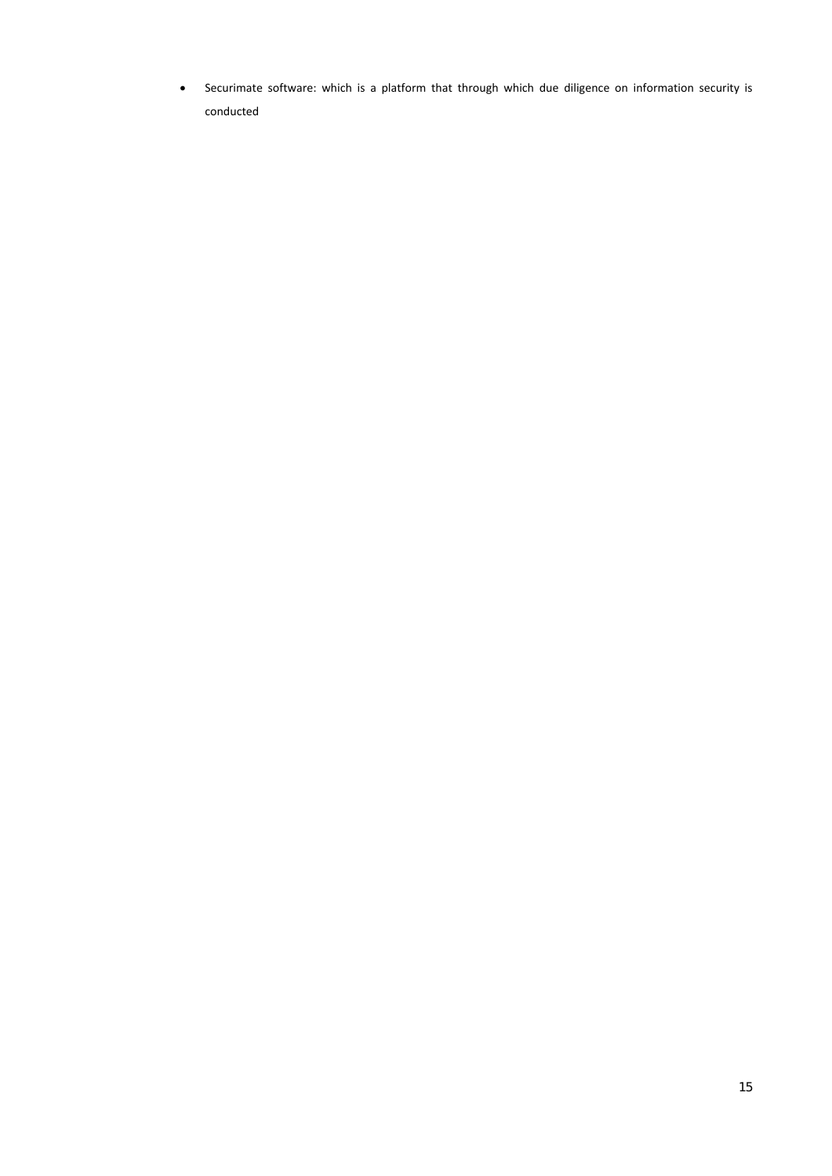Securimate software: which is a platform that through which due diligence on information security is conducted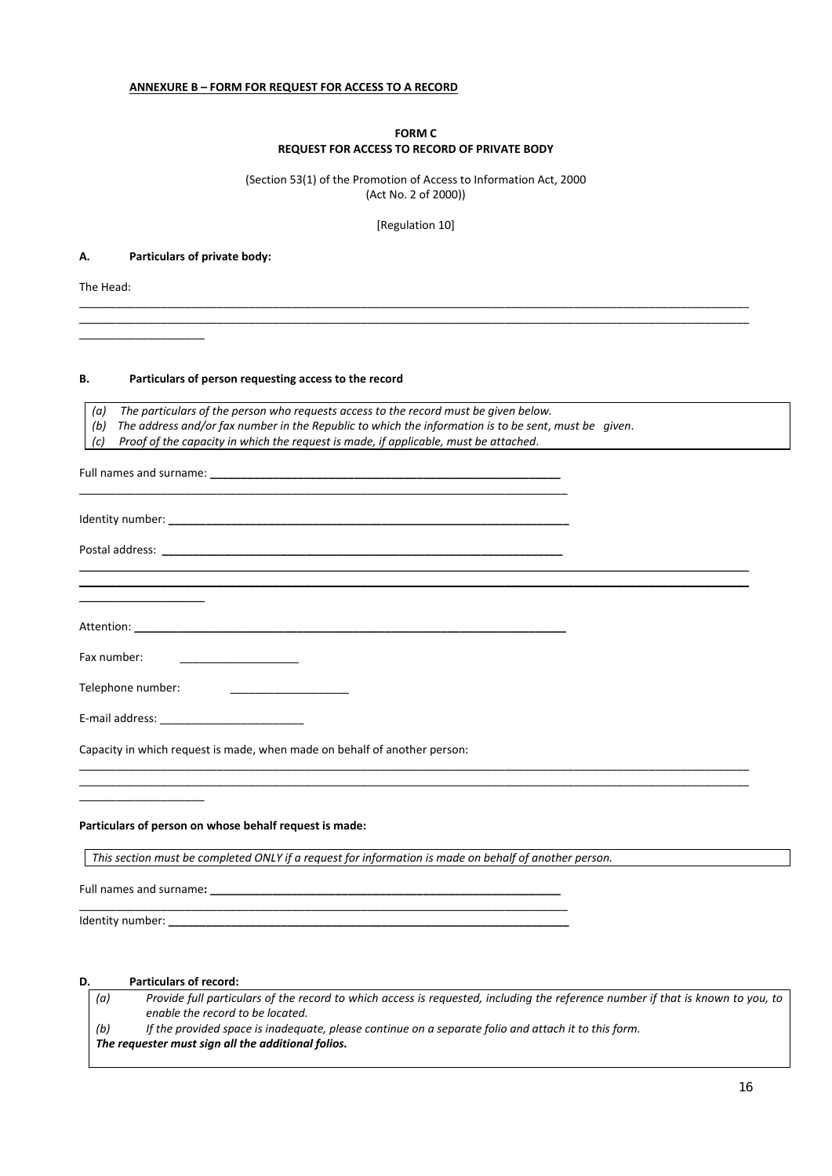### **ANNEXURE B – FORM FOR REQUEST FOR ACCESS TO A RECORD**

### **FORM C REQUEST FOR ACCESS TO RECORD OF PRIVATE BODY**

(Section 53(1) of the Promotion of Access to Information Act, 2000 (Act No. 2 of 2000))

[Regulation 10]

\_\_\_\_\_\_\_\_\_\_\_\_\_\_\_\_\_\_\_\_\_\_\_\_\_\_\_\_\_\_\_\_\_\_\_\_\_\_\_\_\_\_\_\_\_\_\_\_\_\_\_\_\_\_\_\_\_\_\_\_\_\_\_\_\_\_\_\_\_\_\_\_\_\_\_\_\_\_\_\_\_\_\_\_\_\_\_\_\_\_\_\_\_\_\_\_\_\_\_\_\_\_\_\_\_\_\_ \_\_\_\_\_\_\_\_\_\_\_\_\_\_\_\_\_\_\_\_\_\_\_\_\_\_\_\_\_\_\_\_\_\_\_\_\_\_\_\_\_\_\_\_\_\_\_\_\_\_\_\_\_\_\_\_\_\_\_\_\_\_\_\_\_\_\_\_\_\_\_\_\_\_\_\_\_\_\_\_\_\_\_\_\_\_\_\_\_\_\_\_\_\_\_\_\_\_\_\_\_\_\_\_\_\_\_

#### **A. Particulars of private body:**

\_\_\_\_\_\_\_\_\_\_\_\_\_\_\_\_\_\_\_\_

The Head:

#### **B. Particulars of person requesting access to the record**

*(a) The particulars of the person who requests access to the record must be given below.*

- *(b) The address and/or fax number in the Republic to which the information is to be sent*, *must be given*.
- *(c) Proof of the capacity in which the request is made, if applicable, must be attached*.

| Fax number:<br><u>_______________________</u> _                                                       |
|-------------------------------------------------------------------------------------------------------|
| Telephone number:<br><u> 1980 - Jan Barbara Barbara, ma</u>                                           |
|                                                                                                       |
| Capacity in which request is made, when made on behalf of another person:                             |
| Particulars of person on whose behalf request is made:                                                |
| This section must be completed ONLY if a request for information is made on behalf of another person. |
|                                                                                                       |
|                                                                                                       |

# **D. Particulars of record:**

*(a) Provide full particulars of the record to which access is requested, including the reference number if that is known to you, to enable the record to be located.* 

*(b) If the provided space is inadequate, please continue on a separate folio and attach it to this form.* 

### *The requester must sign all the additional folios.*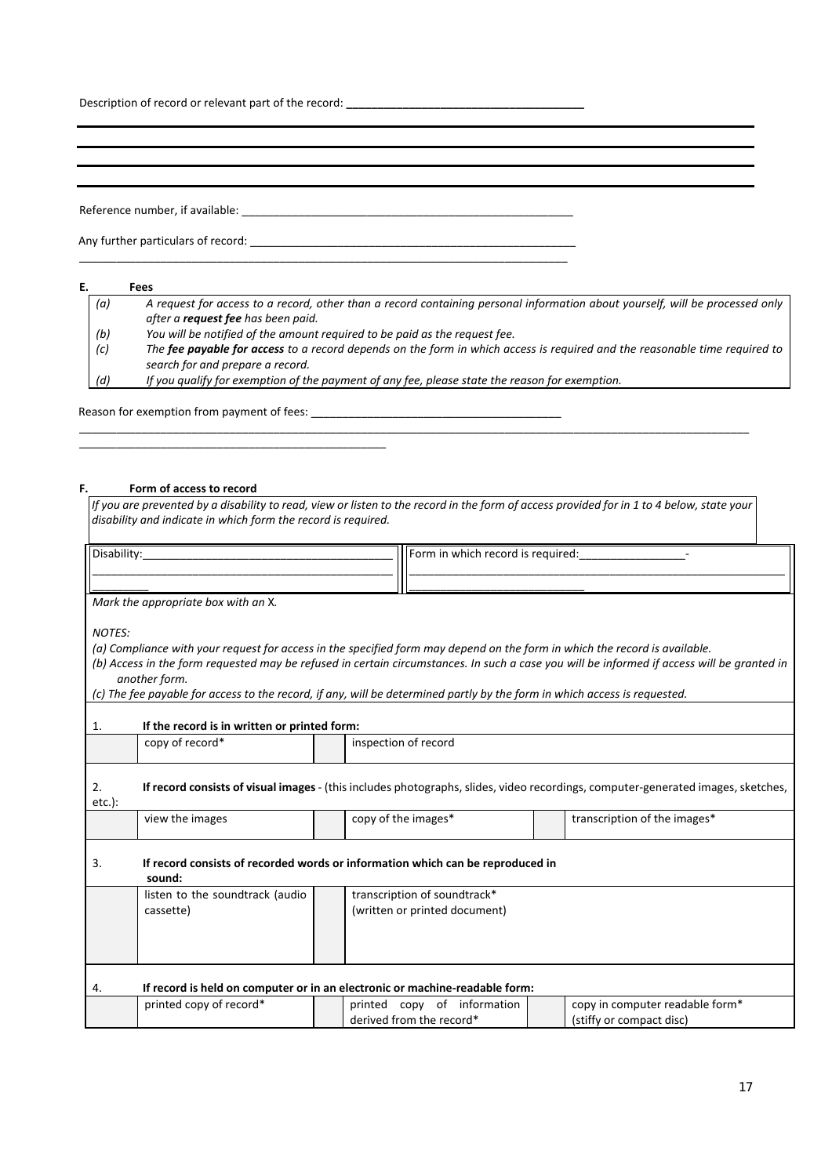Description of record or relevant part of the record: \_\_\_\_\_\_\_\_\_\_\_\_\_\_\_\_\_\_\_\_\_\_\_\_\_\_\_\_

Reference number, if available: \_\_\_\_\_\_\_\_\_\_\_\_\_\_\_\_\_\_\_\_\_\_\_\_\_\_\_\_\_\_\_\_\_\_\_\_\_\_\_\_\_\_\_\_\_\_\_\_\_\_\_\_\_

Any further particulars of record:

# **E. Fees**

| (a) | A request for access to a record, other than a record containing personal information about yourself, will be processed only |
|-----|------------------------------------------------------------------------------------------------------------------------------|
|     | after a <b>request fee</b> has been paid.                                                                                    |
| (b) | You will be notified of the amount required to be paid as the request fee.                                                   |
| (c) | The fee payable for access to a record depends on the form in which access is required and the reasonable time required to   |
|     | search for and prepare a record.                                                                                             |
| (d) | If you qualify for exemption of the payment of any fee, please state the reason for exemption.                               |

\_\_\_\_\_\_\_\_\_\_\_\_\_\_\_\_\_\_\_\_\_\_\_\_\_\_\_\_\_\_\_\_\_\_\_\_\_\_\_\_\_\_\_\_\_\_\_\_\_\_\_\_\_\_\_\_\_\_\_\_\_\_\_\_\_\_\_\_\_\_\_\_\_\_\_\_\_\_

Reason for exemption from payment of fees:

\_\_\_\_\_\_\_\_\_\_\_\_\_\_\_\_\_\_\_\_\_\_\_\_\_\_\_\_\_\_\_\_\_\_\_\_\_\_\_\_\_\_\_\_\_\_\_\_\_

#### **F. Form of access to record**

*If you are prevented by a disability to read, view or listen to the record in the form of access provided for in 1 to 4 below, state your disability and indicate in which form the record is required.* 

\_\_\_\_\_\_\_\_\_\_\_\_\_\_\_\_\_\_\_\_\_\_\_\_\_\_\_\_\_\_\_\_\_\_\_\_\_\_\_\_\_\_\_\_\_\_\_\_\_\_\_\_\_\_\_\_\_\_\_\_\_\_\_\_\_\_\_\_\_\_\_\_\_\_\_\_\_\_\_\_\_\_\_\_\_\_\_\_\_\_\_\_\_\_\_\_\_\_\_\_\_\_\_\_\_\_\_

| $\sim$ $\sim$<br>________________ | record<br>required<br>which<br>nrm<br>ın<br>________________ |  |  |  |
|-----------------------------------|--------------------------------------------------------------|--|--|--|
|                                   |                                                              |  |  |  |
| __________                        | . .                                                          |  |  |  |

*Mark the appropriate box with an* X*.*

*NOTES:* 

*(a) Compliance with your request for access in the specified form may depend on the form in which the record is available.* 

*(b) Access in the form requested may be refused in certain circumstances. In such a case you will be informed if access will be granted in another form.* 

*(c) The fee payable for access to the record, if any, will be determined partly by the form in which access is requested.*

| 1.              | If the record is in written or printed form:                                                                                            |  |                                                               |  |                                                             |
|-----------------|-----------------------------------------------------------------------------------------------------------------------------------------|--|---------------------------------------------------------------|--|-------------------------------------------------------------|
|                 | copy of record*                                                                                                                         |  | inspection of record                                          |  |                                                             |
| 2.<br>$etc.$ ): | <b>If record consists of visual images</b> - (this includes photographs, slides, video recordings, computer-generated images, sketches, |  |                                                               |  |                                                             |
|                 | view the images                                                                                                                         |  | copy of the images*                                           |  | transcription of the images*                                |
| 3.              | If record consists of recorded words or information which can be reproduced in<br>sound:                                                |  |                                                               |  |                                                             |
|                 | listen to the soundtrack (audio<br>cassette)                                                                                            |  | transcription of soundtrack*<br>(written or printed document) |  |                                                             |
| 4.              | If record is held on computer or in an electronic or machine-readable form:                                                             |  |                                                               |  |                                                             |
|                 | printed copy of record*                                                                                                                 |  | printed copy of information<br>derived from the record*       |  | copy in computer readable form*<br>(stiffy or compact disc) |